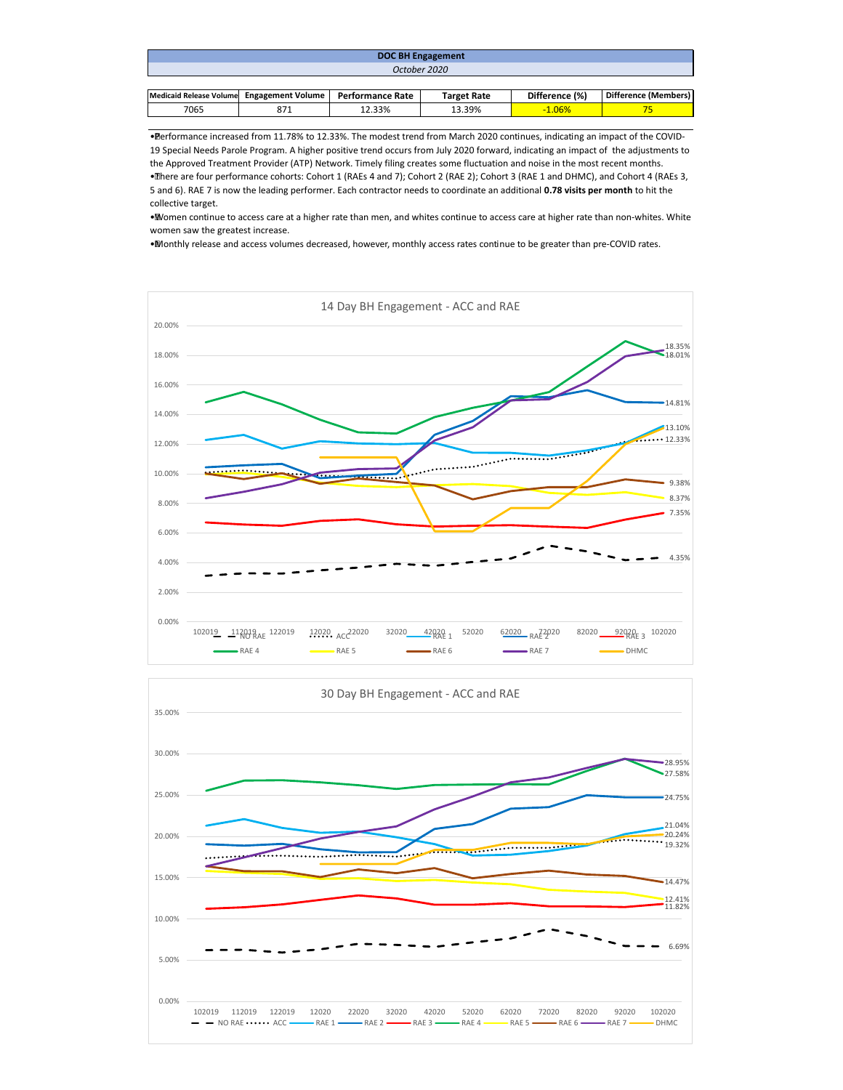| <b>DOC BH Engagement</b>                  |     |                         |                    |                |                      |  |  |  |
|-------------------------------------------|-----|-------------------------|--------------------|----------------|----------------------|--|--|--|
| October 2020                              |     |                         |                    |                |                      |  |  |  |
|                                           |     |                         |                    |                |                      |  |  |  |
| Medicaid Release Volume Engagement Volume |     | <b>Performance Rate</b> | <b>Target Rate</b> | Difference (%) | Difference (Members) |  |  |  |
| 7065                                      | 871 | 12.33%                  | 13.39%             | $-1.06%$       |                      |  |  |  |

• Performance increased from 11.78% to 12.33%. The modest trend from March 2020 continues, indicating an impact of the COVID-19 Special Needs Parole Program. A higher positive trend occurs from July 2020 forward, indicating an impact of the adjustments to the Approved Treatment Provider (ATP) Network. Timely filing creates some fluctuation and noise in the most recent months. • There are four performance cohorts: Cohort 1 (RAEs 4 and 7); Cohort 2 (RAE 2); Cohort 3 (RAE 1 and DHMC), and Cohort 4 (RAEs 3,

5 and 6). RAE 7 is now the leading performer. Each contractor needs to coordinate an additional **0.78 visits per month** to hit the collective target.

• Women continue to access care at a higher rate than men, and whites continue to access care at higher rate than non-whites. White women saw the greatest increase.

• Monthly release and access volumes decreased, however, monthly access rates continue to be greater than pre-COVID rates.